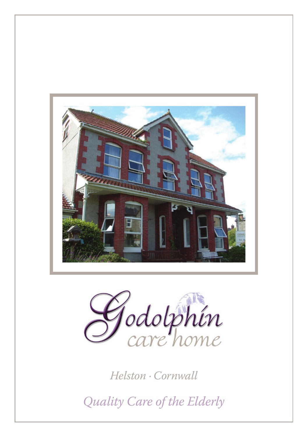



*Helston · Cornwall*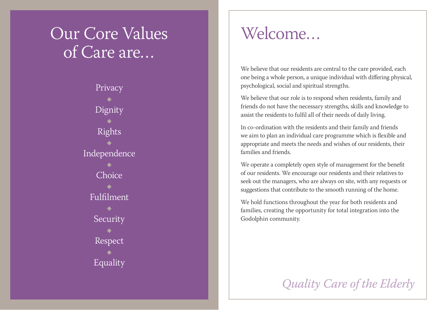# Our Core Values of Care are…

Privacy Dignity Rights Independence Choice Fulfilment Security Respect Equality

### Welcome…

We believe that our residents are central to the care provided, each one being a whole person, a unique individual with differing physical, psychological, social and spiritual strengths.

We believe that our role is to respond when residents, family and friends do not have the necessary strengths, skills and knowledge to assist the residents to fulfil all of their needs of daily living.

In co-ordination with the residents and their family and friends we aim to plan an individual care programme which is flexible and appropriate and meets the needs and wishes of our residents, their families and friends.

We operate a completely open style of management for the benefit of our residents. We encourage our residents and their relatives to seek out the managers, who are always on site, with any requests or suggestions that contribute to the smooth running of the home.

We hold functions throughout the year for both residents and families, creating the opportunity for total integration into the Godolphin community.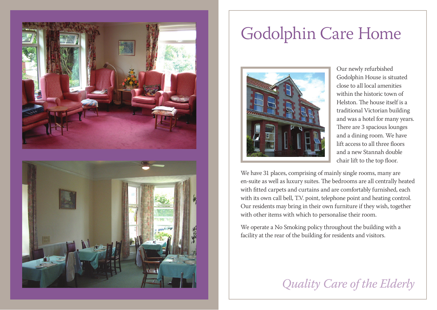

# Godolphin Care Home



Our newly refurbished Godolphin House is situated close to all local amenities within the historic town of Helston. The house itself is a traditional Victorian building and was a hotel for many years. There are 3 spacious lounges and a dining room. We have lift access to all three floors and a new Stannah double chair lift to the top floor.

We have 31 places, comprising of mainly single rooms, many are en-suite as well as luxury suites. The bedrooms are all centrally heated with fitted carpets and curtains and are comfortably furnished, each with its own call bell, T.V. point, telephone point and heating control. Our residents may bring in their own furniture if they wish, together with other items with which to personalise their room.

We operate a No Smoking policy throughout the building with a facility at the rear of the building for residents and visitors.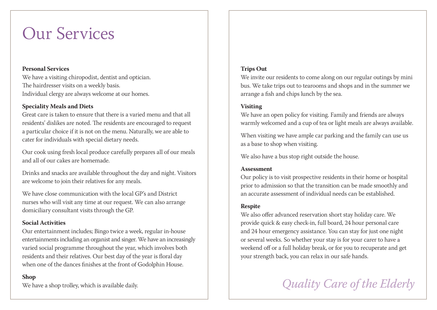## Our Services

#### **Personal Services**

We have a visiting chiropodist, dentist and optician. The hairdresser visits on a weekly basis. Individual clergy are always welcome at our homes.

### **Speciality Meals and Diets**

Great care is taken to ensure that there is a varied menu and that all residents' dislikes are noted. The residents are encouraged to request a particular choice if it is not on the menu. Naturally, we are able to cater for individuals with special dietary needs.

Our cook using fresh local produce carefully prepares all of our meals and all of our cakes are homemade.

Drinks and snacks are available throughout the day and night. Visitors are welcome to join their relatives for any meals.

We have close communication with the local GP's and District nurses who will visit any time at our request. We can also arrange domiciliary consultant visits through the GP.

#### **Social Activities**

Our entertainment includes; Bingo twice a week, regular in-house entertainments including an organist and singer. We have an increasingly varied social programme throughout the year, which involves both residents and their relatives. Our best day of the year is floral day when one of the dances finishes at the front of Godolphin House.

#### **Shop**

We have a shop trolley, which is available daily.

#### **Trips Out**

We invite our residents to come along on our regular outings by mini bus. We take trips out to tearooms and shops and in the summer we arrange a fish and chips lunch by the sea.

### **Visiting**

We have an open policy for visiting. Family and friends are always warmly welcomed and a cup of tea or light meals are always available.

When visiting we have ample car parking and the family can use us as a base to shop when visiting.

We also have a bus stop right outside the house.

#### **Assessment**

Our policy is to visit prospective residents in their home or hospital prior to admission so that the transition can be made smoothly and an accurate assessment of individual needs can be established.

#### **Respite**

We also offer advanced reservation short stay holiday care. We provide quick & easy check-in, full board, 24 hour personal care and 24 hour emergency assistance. You can stay for just one night or several weeks. So whether your stay is for your carer to have a weekend off or a full holiday break, or for you to recuperate and get your strength back, you can relax in our safe hands.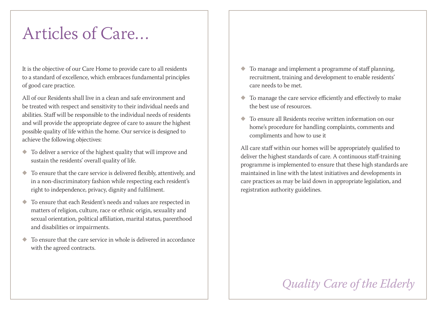# Articles of Care…

It is the objective of our Care Home to provide care to all residents to a standard of excellence, which embraces fundamental principles of good care practice.

All of our Residents shall live in a clean and safe environment and be treated with respect and sensitivity to their individual needs and abilities. Staff will be responsible to the individual needs of residents and will provide the appropriate degree of care to assure the highest possible quality of life within the home. Our service is designed to achieve the following objectives:

- $\blacklozenge$  To deliver a service of the highest quality that will improve and sustain the residents' overall quality of life.
- To ensure that the care service is delivered flexibly, attentively, and in a non-discriminatory fashion while respecting each resident's right to independence, privacy, dignity and fulfilment.
- To ensure that each Resident's needs and values are respected in matters of religion, culture, race or ethnic origin, sexuality and sexual orientation, political affiliation, marital status, parenthood and disabilities or impairments.
- To ensure that the care service in whole is delivered in accordance with the agreed contracts.
- $\bullet$  To manage and implement a programme of staff planning, recruitment, training and development to enable residents' care needs to be met.
- To manage the care service efficiently and effectively to make the best use of resources.
- To ensure all Residents receive written information on our home's procedure for handling complaints, comments and compliments and how to use it

All care staff within our homes will be appropriately qualified to deliver the highest standards of care. A continuous staff-training programme is implemented to ensure that these high standards are maintained in line with the latest initiatives and developments in care practices as may be laid down in appropriate legislation, and registration authority guidelines.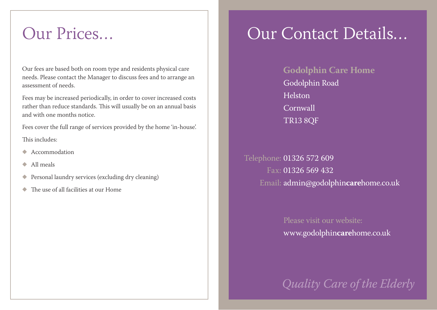Our fees are based both on room type and residents physical care needs. Please contact the Manager to discuss fees and to arrange an assessment of needs.

Fees may be increased periodically, in order to cover increased costs rather than reduce standards. This will usually be on an annual basis and with one months notice.

Fees cover the full range of services provided by the home 'in-house'. This includes:

- Accommodation
- $\triangle$  All meals
- $\blacklozenge$  Personal laundry services (excluding dry cleaning)
- The use of all facilities at our Home

# Our Prices… Sur Contact Details…

**Godolphin Care Home** Godolphin Road Helston Cornwall TR13 8QF

Telephone: 01326 572 609 Fax: 01326 569 432 Email: admin@godolphin**care**home.co.uk

> Please visit our website: www.godolphin**care**home.co.uk